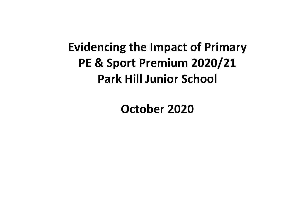# **Evidencing the Impact of Primary PE & Sport Premium 2020/21 Park Hill Junior School**

**October 2020**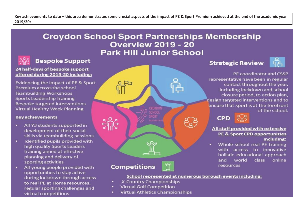**Key achievements to date – this area demonstrates some crucial aspects of the impact of PE & Sport Premium achieved at the end of the academic year 2019/20:**

## **Croydon School Sport Partnerships Membership Overview 2019 - 20 Park Hill Junior School**

## **Bespoke Support**

#### 24 half-days of bespoke support offered during 2019-20 including:

Evidencing the impact of PE & Sport Premium across the school **Teambuilding Workshops Sports Leadership Training Bespoke targeted interventions Virtual Healthy Week Planning** 

#### **Key achievements**

- All Y3 students supported in development of their social skills via teambuilding sessions
- Identified pupils provided with high quality Sports Leaders training aimed at effective planning and delivery of sporting activities
- All young people provided with opportunities to stay active during lockdown through access to real PE at Home resources. regular sporting challenges and virtual competitions



## **Strategic Review**



PE coordinator and CSSP representative have been in regular contact throughout the year. including lockdown and school closure period, to action plan. design targeted interventions and to ensure that sport is at the forefront of the school.



#### All staff provided with extensive PE & Sport CPD opportunities including:

Whole school real PE training with access to innovative holistic educational approach world class online and resources

#### School represented at numerous borough events including:

- X-Country Championships
- **Virtual Golf Competition**
- **Virtual Athletics Championships**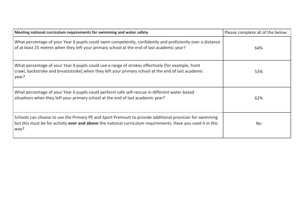| Meeting national curriculum requirements for swimming and water safety                                                                                                                                                         | Please complete all of the below: |
|--------------------------------------------------------------------------------------------------------------------------------------------------------------------------------------------------------------------------------|-----------------------------------|
| What percentage of your Year 6 pupils could swim competently, confidently and proficiently over a distance<br>of at least 25 metres when they left your primary school at the end of last academic year?                       | 64%                               |
| What percentage of your Year 6 pupils could use a range of strokes effectively [for example, front<br>crawl, backstroke and breaststroke] when they left your primary school at the end of last academic<br>year?              | 53%                               |
| What percentage of your Year 6 pupils could perform safe self-rescue in different water-based<br>situations when they left your primary school at the end of last academic year?                                               | 62%                               |
| Schools can choose to use the Primary PE and Sport Premium to provide additional provision for swimming<br>but this must be for activity over and above the national curriculum requirements. Have you used it in this<br>way? | No.                               |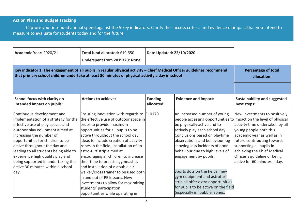### **Action Plan and Budget Tracking**

Capture your intended annual spend against the 5 key indicators. Clarify the success criteria and evidence of impact that you intend to measure to evaluate for students today and for the future.

| Academic Year: 2020/21                                                                                                                                                                                                                                                                                                                                                                                     | Total fund allocated: £19,650<br>Underspent from 2019/20: None                                                                                                                                                                                                                                                                                                                                                                                                                                                                                                                                                 | Date Updated: 22/10/2020     |                                                                                                                                                                                                                                                                                                                                                                                                                                                                                                                       |                                                                                                                                                                                                                                                                                     |
|------------------------------------------------------------------------------------------------------------------------------------------------------------------------------------------------------------------------------------------------------------------------------------------------------------------------------------------------------------------------------------------------------------|----------------------------------------------------------------------------------------------------------------------------------------------------------------------------------------------------------------------------------------------------------------------------------------------------------------------------------------------------------------------------------------------------------------------------------------------------------------------------------------------------------------------------------------------------------------------------------------------------------------|------------------------------|-----------------------------------------------------------------------------------------------------------------------------------------------------------------------------------------------------------------------------------------------------------------------------------------------------------------------------------------------------------------------------------------------------------------------------------------------------------------------------------------------------------------------|-------------------------------------------------------------------------------------------------------------------------------------------------------------------------------------------------------------------------------------------------------------------------------------|
| Key indicator 1: The engagement of all pupils in regular physical activity - Chief Medical Officer guidelines recommend<br>that primary school children undertake at least 30 minutes of physical activity a day in school                                                                                                                                                                                 | <b>Percentage of total</b><br>allocation:                                                                                                                                                                                                                                                                                                                                                                                                                                                                                                                                                                      |                              |                                                                                                                                                                                                                                                                                                                                                                                                                                                                                                                       |                                                                                                                                                                                                                                                                                     |
|                                                                                                                                                                                                                                                                                                                                                                                                            |                                                                                                                                                                                                                                                                                                                                                                                                                                                                                                                                                                                                                |                              |                                                                                                                                                                                                                                                                                                                                                                                                                                                                                                                       |                                                                                                                                                                                                                                                                                     |
| School focus with clarity on<br>intended impact on pupils:                                                                                                                                                                                                                                                                                                                                                 | <b>Actions to achieve:</b>                                                                                                                                                                                                                                                                                                                                                                                                                                                                                                                                                                                     | <b>Funding</b><br>allocated: | <b>Evidence and impact:</b>                                                                                                                                                                                                                                                                                                                                                                                                                                                                                           | <b>Sustainability and suggested</b><br>next steps:                                                                                                                                                                                                                                  |
| Continuous development and<br>implementation of a strategy for the<br>effective use of play spaces and<br>outdoor play equipment aimed at<br>increasing the number of<br>opportunities for children to be<br>active throughout the day and<br>leading to all students being able to<br>experience high quality play and<br>being supported in undertaking the<br>active 30 minutes within a school<br>day. | Ensuring innovation with regards to $£10170$<br>the effective use of outdoor space in<br>order to provide maximum<br>opportunities for all pupils to be<br>active throughout the school day.<br>Ideas to include creation of activity<br>zones in the field, installation of an<br>astro-turf strip aimed at<br>encouraging all children to increase<br>their time to practise gymnastics<br>and installation of a double air-<br>walker/cross trainer to be used both<br>lin and out of PE lessons. New<br>investments to allow for maximizing<br>students' participation<br>opportunities while operating in |                              | An increased number of young<br>people accessing opportunities to impact on the level of physical<br>be physically active and to<br>actively play each school day.<br>Conclusions based on playtime<br>observations and behaviour log<br>showing less incidents of poor<br>behaviour due to high levels of<br>engagement by pupils.<br>Sports dots on the fields, new<br>gym equipment and astroturf<br>strip all offer extra opportunities<br>for pupils to be active on the field<br>(especially in 'bubble' zones. | New investments to positively<br>activity time undertaken by all<br>young people both this<br>academic year as well as in<br>future contributing towards<br>supporting all pupils in<br>achieving the Chief Medical<br>Officer's guideline of being<br>active for 60 minutes a day. |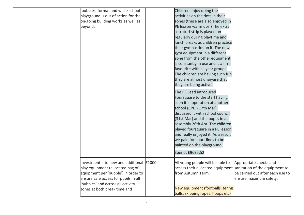| 'bubbles' format and while school<br>playground is out of action for the<br>on-going building works as well as<br>beyond.                                                                                                        | Children enjoy doing the<br>activities on the dots in their<br>zones (these are also enjoyed in<br>PE lesson warm ups.) The extra<br>astroturf strip is played on<br>regularly during playtime and<br>lunch breaks as children practice<br>their gymnastics on it. The new<br>gym equipment in a different<br>zone from the other equipment<br>is constantly in use and is a firm<br>favourite with all year groups.<br>The children are having such fun<br>they are almost unaware that<br>they are being active!<br>The PE Lead introduced<br>Foursquare to the staff having<br>seen it in operation at another<br>school (CPD - 17th Mar), |                                                                                      |
|----------------------------------------------------------------------------------------------------------------------------------------------------------------------------------------------------------------------------------|-----------------------------------------------------------------------------------------------------------------------------------------------------------------------------------------------------------------------------------------------------------------------------------------------------------------------------------------------------------------------------------------------------------------------------------------------------------------------------------------------------------------------------------------------------------------------------------------------------------------------------------------------|--------------------------------------------------------------------------------------|
|                                                                                                                                                                                                                                  | discussed it with school council<br>(31st Mar) and the pupils in an<br>assembly 26th Apr. The children<br>played foursquare in a PE lesson<br>and really enjoyed it. As a result<br>we paid for court lines to be<br>painted on the playground.<br>Spend: £9695.52                                                                                                                                                                                                                                                                                                                                                                            |                                                                                      |
| Investment into new and additional £1000<br>play equipment (allocated bag of<br>equipment per 'bubble') in order to<br>ensure safe access for pupils in all<br>'bubbles' and across all activity<br>zones at both break time and | All young people will be able to<br>access their allocated equipment sanitation of the equipment to<br>from Autumn Term.<br>New equipment (footballs, tennis<br>balls, skipping ropes, hoops etc)                                                                                                                                                                                                                                                                                                                                                                                                                                             | Appropriate checks and<br>be carried out after each use to<br>ensure maximum safety. |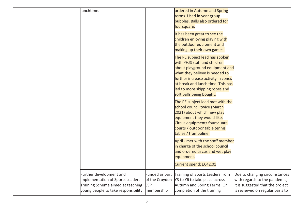| lunchtime.                                                                                                                              |                                                              | ordered in Autumn and Spring<br>terms. Used in year group<br>bubbles. Balls also ordered for<br>foursquare.<br>It has been great to see the<br>children enjoying playing with<br>the outdoor equipment and<br>making up their own games.<br>The PE subject lead has spoken<br>with PHJS staff and children<br>about playground equipment and<br>what they believe is needed to<br>further increase activity in zones<br>at break and lunch time. This has<br>led to more skipping ropes and<br>soft balls being bought.<br>The PE subject lead met with the<br>school council twice (March |                                                                                                                                       |
|-----------------------------------------------------------------------------------------------------------------------------------------|--------------------------------------------------------------|--------------------------------------------------------------------------------------------------------------------------------------------------------------------------------------------------------------------------------------------------------------------------------------------------------------------------------------------------------------------------------------------------------------------------------------------------------------------------------------------------------------------------------------------------------------------------------------------|---------------------------------------------------------------------------------------------------------------------------------------|
|                                                                                                                                         |                                                              | Circus equipment/ foursquare<br>courts / outdoor table tennis<br>tables / trampoline.<br>April - met with the staff member<br>in charge of the school council<br>and ordered circus and wet play<br>equipment.                                                                                                                                                                                                                                                                                                                                                                             |                                                                                                                                       |
|                                                                                                                                         |                                                              | Current spend: £642.01                                                                                                                                                                                                                                                                                                                                                                                                                                                                                                                                                                     |                                                                                                                                       |
| Further development and<br>implementation of Sports Leaders<br>Training Scheme aimed at teaching<br>young people to take responsibility | Funded as part<br>of the Croydon<br><b>SSP</b><br>membership | Training of Sports Leaders from<br>Y3 to Y6 to take place across<br>Autumn and Spring Terms. On<br>completion of the training                                                                                                                                                                                                                                                                                                                                                                                                                                                              | Due to changing circumstances<br>with regards to the pandemic,<br>it is suggested that the project<br>is reviewed on regular basis to |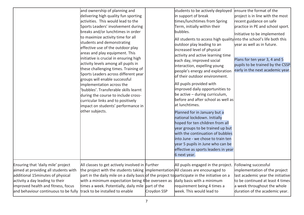|                                                                                                                                                                                                                                  | and ownership of planning and<br>delivering high quality fun sporting<br>activities. This would lead to the<br>Sports Leaders' involvement during<br>breaks and/or lunchtimes in order<br>to maximize activity time for all<br>students and demonstrating<br>effective use of the outdoor play<br>areas and play equipment. This<br>initiative is crucial in ensuring high<br>activity levels among all pupils in<br>these challenging times. Training of<br>Sports Leaders across different year<br>groups will enable successful<br>implementation across the<br>'bubbles'. Transferable skills learnt<br>during the course to include cross-<br>curricular links and to positively<br>impact on students' performance in<br>other subjects. |             | students to be actively deployed<br>in support of break<br>times/lunchtimes from Spring<br>Term, initially within their<br>bubbles.<br>All students to access high quality into the school's life both this<br>outdoor play leading to an<br>increased level of physical<br>activity and active learning time<br>each day, improved social<br>interaction, expelling young<br>people's energy and exploration<br>of their outdoor environment.<br>All pupils provided with<br>improved daily opportunities to<br>be active $-$ during curriculum,<br>before and after school as well as<br>at lunchtimes.<br>Planned for in January but a<br>national lockdown. Initially<br>hoped for ten children from all<br>year groups to be trained up but<br>with the continuation of bubbles<br>into June - we chose to train ten<br>year 5 pupils in June who can be<br>effective as sports leaders in year<br>6 next year. | ensure the format of the<br>project is in line with the most<br>recent guidance on safe<br>practice in PE and school sport.<br>Initiative to be implemented<br>year as well as in future.<br>Plans for ten year 3, 4 and 5<br>pupils to be trained by the CSSP<br>early in the next academic year. |
|----------------------------------------------------------------------------------------------------------------------------------------------------------------------------------------------------------------------------------|------------------------------------------------------------------------------------------------------------------------------------------------------------------------------------------------------------------------------------------------------------------------------------------------------------------------------------------------------------------------------------------------------------------------------------------------------------------------------------------------------------------------------------------------------------------------------------------------------------------------------------------------------------------------------------------------------------------------------------------------|-------------|----------------------------------------------------------------------------------------------------------------------------------------------------------------------------------------------------------------------------------------------------------------------------------------------------------------------------------------------------------------------------------------------------------------------------------------------------------------------------------------------------------------------------------------------------------------------------------------------------------------------------------------------------------------------------------------------------------------------------------------------------------------------------------------------------------------------------------------------------------------------------------------------------------------------|----------------------------------------------------------------------------------------------------------------------------------------------------------------------------------------------------------------------------------------------------------------------------------------------------|
| Ensuring that 'daily mile' project<br>aimed at providing all students with<br>additional 15 minutes of physical<br>activity a day leading to their<br>improved health and fitness, focus<br>and behaviour continuous to be fully | All classes to get actively involved in Further<br>the project with the students taking limplementation All classes are encouraged to<br>part in the daily mile on a daily basis of the project to participate in the initiative on a<br>with a minimum expectation being 4 be overseen as<br>times a week. Potentially, daily mile part of the<br>track to be installed to enable                                                                                                                                                                                                                                                                                                                                                             | Croydon SSP | All pupils engaged in the project.<br>daily basis with a minimum<br>requirement being 4 times a<br>week. This would lead to                                                                                                                                                                                                                                                                                                                                                                                                                                                                                                                                                                                                                                                                                                                                                                                          | Following successful<br>implementation of the project<br>last academic year the initiative<br>to be continued at least 4 times<br>a week throughout the whole<br>duration of the academic year.                                                                                                    |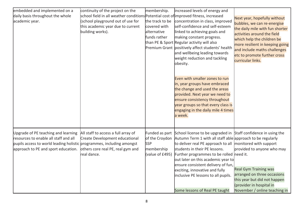| embedded and implemented on a                                                                                                                                                                | continuity of the project on the                                                                                                                                                   | membership.                                                    | increased levels of energy and                                                                                                                                                                                                                                                                                                                                                                                                                                                                                                                                                  |                                                                                                                                                                                                                                                                                     |
|----------------------------------------------------------------------------------------------------------------------------------------------------------------------------------------------|------------------------------------------------------------------------------------------------------------------------------------------------------------------------------------|----------------------------------------------------------------|---------------------------------------------------------------------------------------------------------------------------------------------------------------------------------------------------------------------------------------------------------------------------------------------------------------------------------------------------------------------------------------------------------------------------------------------------------------------------------------------------------------------------------------------------------------------------------|-------------------------------------------------------------------------------------------------------------------------------------------------------------------------------------------------------------------------------------------------------------------------------------|
| daily basis throughout the whole<br>academic year.                                                                                                                                           | school field in all weather conditions Potential cost of improved fitness, increased<br>(school playground out of use for<br>this academic year due to current<br>building works). | the track to be<br>covered with<br>alternative<br>funds rather | concentration in class, improved<br>self-confidence and self-esteem<br>linked to achieving goals and<br>making constant progress.<br>than PE & Sport Regular activity will also<br>Premium Grant positively affect students' health<br>and wellbeing leading towards<br>weight reduction and tackling<br>obesity.<br>Even with smaller zones to run<br>in, year groups have embraced<br>the change and used the areas<br>provided. Next year we need to<br>ensure consistency throughout<br>year groups so that every class is<br>engaging in the daily mile 4 times<br>a week. | Next year, hopefully without<br>bubbles, we can re-energise<br>the daily mile with fun shorter<br>activities around the field<br>which help the children be<br>more resilient in keeping going<br>and include maths challenges<br>etc to promote further cross<br>curricular links. |
| Upgrade of PE teaching and learning<br>resources to enable all staff and all<br>pupils access to world leading holistic programmes, including amongst<br>approach to PE and sport education. | All staff to access a full array of<br>Create Development educational<br>others core real PE, real gym and<br>real dance.                                                          | Funded as part<br><b>SSP</b><br>membership<br>(value of £495)  | School license to be upgraded in Staff confidence in using the<br>of the Croydon Autumn Term 1 with all staff able approach to be regularly<br>to deliver real PE approach to all monitored with support<br>students in their PE lessons.<br>Further programmes to be rolled need it.<br>out later on this academic year to<br>ensure consistent delivery of fun,<br>exciting, innovative and fully<br>inclusive PE lessons to all pupils.<br>Some lessons of Real PE taught                                                                                                    | provided to anyone who may<br><b>Real Gym Training was</b><br>arranged on three occasions<br>this year but did not happen<br>(provider in hospital in<br>November / online teaching in                                                                                              |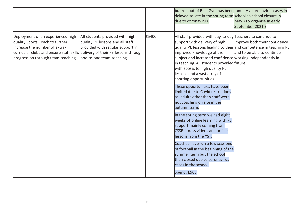|                                                                                                                                                                                                                                                                                                                                                                      |       |                                                                                                                                                                                                                                                                                                                                                                                                      | but roll out of Real Gym has been January / coronavirus cases in<br>delayed to late in the spring term school so school closure in<br>due to coronavirus.                     | May. (To organise in early<br>September 2021.) |
|----------------------------------------------------------------------------------------------------------------------------------------------------------------------------------------------------------------------------------------------------------------------------------------------------------------------------------------------------------------------|-------|------------------------------------------------------------------------------------------------------------------------------------------------------------------------------------------------------------------------------------------------------------------------------------------------------------------------------------------------------------------------------------------------------|-------------------------------------------------------------------------------------------------------------------------------------------------------------------------------|------------------------------------------------|
| Deployment of an experienced high<br>All students provided with high<br>quality Sports Coach to further<br>quality PE lessons and all staff<br>increase the number of extra-<br>provided with regular support in<br>curricular clubs and ensure staff skills delivery of their PE lessons through<br>one-to-one team-teaching.<br>progression through team-teaching. | £5400 | All staff provided with day-to-day Teachers to continue to<br>support with delivery of high<br>quality PE lessons leading to their and competence in teaching PE<br>improved knowledge of the<br>subject and increased confidence working independently in<br>in teaching. All students provided future.<br>with access to high quality PE<br>lessons and a vast array of<br>sporting opportunities. | improve both their confidence<br>and to be able to continue                                                                                                                   |                                                |
|                                                                                                                                                                                                                                                                                                                                                                      |       |                                                                                                                                                                                                                                                                                                                                                                                                      | These opportunities have been<br>limited due to Covid restrictions<br>as adults other than staff were<br>not coaching on site in the<br>autumn term.                          |                                                |
|                                                                                                                                                                                                                                                                                                                                                                      |       |                                                                                                                                                                                                                                                                                                                                                                                                      | In the spring term we had eight<br>weeks of online learning with PE<br>support mainly coming from<br><b>CSSP</b> fitness videos and online<br>lessons from the YST.           |                                                |
|                                                                                                                                                                                                                                                                                                                                                                      |       |                                                                                                                                                                                                                                                                                                                                                                                                      | Coaches have run a few sessions<br>of football in the beginning of the<br>summer term but the school<br>then closed due to coronavirus<br>cases in the school.<br>Spend: £905 |                                                |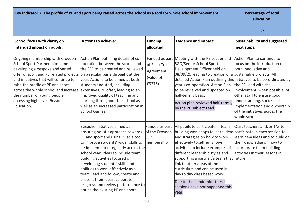| Key indicator 2: The profile of PE and sport being raised across the school as a tool for whole school improvement                                                                                                                                                                                                                                                                        | <b>Percentage of total</b><br>allocation:                                                                                                                                                                                                                                                                                                                                                                                                                                                  |                                                              |                                                                                                                                                                                                                                                                                                                                                                                                                                                                     |                                                                                                                                                                                                                                                                                          |
|-------------------------------------------------------------------------------------------------------------------------------------------------------------------------------------------------------------------------------------------------------------------------------------------------------------------------------------------------------------------------------------------|--------------------------------------------------------------------------------------------------------------------------------------------------------------------------------------------------------------------------------------------------------------------------------------------------------------------------------------------------------------------------------------------------------------------------------------------------------------------------------------------|--------------------------------------------------------------|---------------------------------------------------------------------------------------------------------------------------------------------------------------------------------------------------------------------------------------------------------------------------------------------------------------------------------------------------------------------------------------------------------------------------------------------------------------------|------------------------------------------------------------------------------------------------------------------------------------------------------------------------------------------------------------------------------------------------------------------------------------------|
|                                                                                                                                                                                                                                                                                                                                                                                           |                                                                                                                                                                                                                                                                                                                                                                                                                                                                                            |                                                              |                                                                                                                                                                                                                                                                                                                                                                                                                                                                     | %                                                                                                                                                                                                                                                                                        |
| School focus with clarity on<br>intended impact on pupils:                                                                                                                                                                                                                                                                                                                                | <b>Actions to achieve:</b>                                                                                                                                                                                                                                                                                                                                                                                                                                                                 | <b>Funding</b><br>allocated:                                 | <b>Evidence and impact:</b>                                                                                                                                                                                                                                                                                                                                                                                                                                         | <b>Sustainability and suggested</b><br>next steps:                                                                                                                                                                                                                                       |
| Ongoing membership with Croydon<br>School Sport Partnerships aimed at<br>developing a bespoke and varied<br>offer of sport and PE related projects<br>land initiatives that will continue to<br>raise the profile of PE and sport<br>across the whole school and increase extensive CPD offer, leading to an<br>the number of young people<br>accessing high level Physical<br>Education. | Action Plan outlining details of co-<br>operation between the school and<br>the SSP to be created and reviewed<br>on a regular basis throughout the<br>year. Actions to be aimed at both<br>students and staff, including<br>improved quality of teaching and<br>learning throughout the school as<br>well as an increased participation in<br>School Games.                                                                                                                               | of Folio Trust<br>Agreement<br>(value of<br>£3376)           | Funded as part Meeting with the PE Leader and<br>SGO/Senior School Sport<br>Development Officer held on<br>08/09/20 leading to creation of a sustainable projects. All<br>detailed Action Plan outlining this initiatives to be co-ordinated by<br>year's co-operation. Action Plan<br>to be reviewed and updated on<br>half-termly basis.<br>Action plan reviewed half-termly<br>by the PE subject Lead.                                                           | Action Plan to continue to<br>focus on the introduction of<br>both innovative and<br>the PE Lead with the<br>involvement, when possible, of<br>other staff to ensure good<br>understanding, successful<br>implementation and ownership<br>of the initiatives across the<br>whole school. |
|                                                                                                                                                                                                                                                                                                                                                                                           | Bespoke initiatives aimed at<br>ensuring holistic approach towards<br>PE and sport and using PE as a tool<br>to improve students' wider skills to<br>be implemented regularly across the<br>school year. Ideas to include team<br>building activities focused on<br>developing students' skills and<br>abilities to work effectively as a<br>team, lead and follow, create and<br>present their ideas, celebrate<br>progress and review performance to<br>enrich the existing PE and sport | Funded as part<br>of the Croydon<br><b>SSP</b><br>membership | All pupils to participate in team<br>building workshops to learn ideas participate in each session to<br>and strategies on how to work<br>effectively together. Shown<br>activities to include examples of<br>different leadership styles and<br>supporting a partner/a team that future.<br>link to other areas of the<br>curriculum and can be used in<br>day to day class based work.<br>Due to the pandemic - these<br>sessions have not happened this<br>year. | Class teachers and/or TAs to<br>learn new ideas and to build on<br>their knowledge on how to<br>incorporate team building<br>activities in their lessons in                                                                                                                              |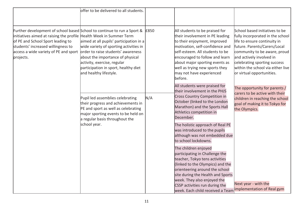|                                                                                                                                                                                                                                                                                                                    | offer to be delivered to all students.                                                                                                                                                                                 |      |                                                                                                                                                                                                                                                                                                                      |                                                                                                                                                                                                                                                                                                  |
|--------------------------------------------------------------------------------------------------------------------------------------------------------------------------------------------------------------------------------------------------------------------------------------------------------------------|------------------------------------------------------------------------------------------------------------------------------------------------------------------------------------------------------------------------|------|----------------------------------------------------------------------------------------------------------------------------------------------------------------------------------------------------------------------------------------------------------------------------------------------------------------------|--------------------------------------------------------------------------------------------------------------------------------------------------------------------------------------------------------------------------------------------------------------------------------------------------|
| Further development of school based School to continue to run a Sport &<br>initiatives aimed at raising the profile Health Week in Summer Term<br>of PE and School Sport leading to<br>students' increased willingness to<br>access a wide variety of PE and sport order to raise students' awareness<br>projects. | aimed at all pupils' participation in a<br>wide variety of sporting activities in<br>about the importance of physical<br>activity, exercise, regular<br>participation in sport, healthy diet<br>and healthy lifestyle. | £850 | All students to be praised for<br>their involvement in PE leading<br>to their enjoyment, improved<br>motivation, self-confidence and<br>self-esteem. All students to be<br>encouraged to follow and learn<br>about major sporting events as<br>well as trying new sports they<br>may not have experienced<br>before. | School based initiatives to be<br>fully incorporated in the school<br>life to ensure continuity in<br>future. Parents/Carers/Local<br>community to be aware, proud<br>and actively involved in<br>celebrating sporting success<br>within the school via either live<br>or virtual opportunities. |
|                                                                                                                                                                                                                                                                                                                    | Pupil led assemblies celebrating<br>their progress and achievements in<br>PE and sport as well as celebrating<br>major sporting events to be held on<br>a regular basis throughout the                                 | N/A  | All students were praised for<br>their involvement in the PHJS<br><b>Cross Country Competition in</b><br>October (linked to the London<br>Marathon) and the Sports Hall<br>Athletics competition in<br>December.                                                                                                     | The opportunity for parents /<br>carers to be active with their<br>children in reaching the school<br>goal of making it to Tokyo for<br>the Olympics.                                                                                                                                            |
|                                                                                                                                                                                                                                                                                                                    | school year.                                                                                                                                                                                                           |      | The holistic approach of Real PE<br>was introduced to the pupils<br>although was not embedded due<br>to school lockdowns.                                                                                                                                                                                            |                                                                                                                                                                                                                                                                                                  |
|                                                                                                                                                                                                                                                                                                                    |                                                                                                                                                                                                                        |      | The children enjoyed<br>participating in Challenge the<br>teacher, Tokyo tens activities<br>(linked to the Olympics) and the<br>orienteering around the school<br>site during the Health and Sports<br>week. They also enjoyed the<br>CSSP activities run during the<br>week. Each child received a Team             | Next year - with the<br>implementation of Real gym                                                                                                                                                                                                                                               |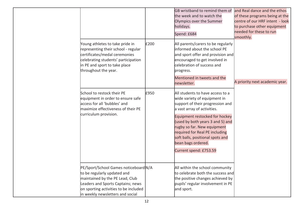|                                                                                                                                                                                                                           |      | GB wristband to remind them of<br>the week and to watch the<br>Olympics over the Summer<br>holidays.<br>Spend: £684                                                                                                                                                                                                                                            | and Real dance and the ethos<br>of these programs being at the<br>centre of our HRF intent - look<br>to purchase other equipment<br>needed for these to run<br>smoothly. |
|---------------------------------------------------------------------------------------------------------------------------------------------------------------------------------------------------------------------------|------|----------------------------------------------------------------------------------------------------------------------------------------------------------------------------------------------------------------------------------------------------------------------------------------------------------------------------------------------------------------|--------------------------------------------------------------------------------------------------------------------------------------------------------------------------|
| Young athletes to take pride in<br>representing their school - regular<br>certificates/medal ceremonies<br>celebrating students' participation<br>in PE and sport to take place<br>throughout the year.                   | £200 | All parents/carers to be regularly<br>informed about the school PE<br>and sport offer and provision and<br>encouraged to get involved in<br>celebration of success and<br>progress.<br>Mentioned in tweets and the<br>newsletter.                                                                                                                              | A priority next academic year.                                                                                                                                           |
| School to restock their PE<br>equipment in order to ensure safe<br>access for all 'bubbles' and<br>maximize effectiveness of their PE<br>curriculum provision.                                                            | £950 | All students to have access to a<br>wide variety of equipment in<br>support of their progression and<br>a vast array of activities.<br>Equipment restocked for hockey<br>(used by both years 3 and 5) and<br>rugby so far. New equipment<br>required for Real PE including<br>soft balls, positional spots and<br>bean bags ordered.<br>Current spend: £753.59 |                                                                                                                                                                          |
| PE/Sport/School Games noticeboard N/A<br>to be regularly updated and<br>maintained by the PE Lead, Club<br>Leaders and Sports Captains; news<br>on sporting activities to be included<br>in weekly newsletters and social |      | All within the school community<br>to celebrate both the success and<br>the positive changes achieved by<br>pupils' regular involvement in PE<br>and sport.                                                                                                                                                                                                    |                                                                                                                                                                          |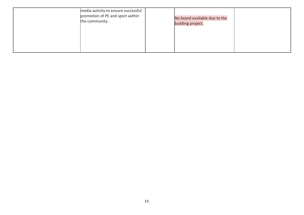| media activity to ensure successful<br>promotion of PE and sport within<br>the community. | No board available due to the<br>building project. |  |
|-------------------------------------------------------------------------------------------|----------------------------------------------------|--|
|                                                                                           |                                                    |  |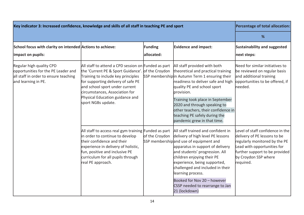| Key indicator 3: Increased confidence, knowledge and skills of all staff in teaching PE and sport                               | Percentage of total allocation:                                                                                                                                                                                                                          |                       |                                                                                                                                                                                                                                                                                                                |                                                                                                                                                                                                         |
|---------------------------------------------------------------------------------------------------------------------------------|----------------------------------------------------------------------------------------------------------------------------------------------------------------------------------------------------------------------------------------------------------|-----------------------|----------------------------------------------------------------------------------------------------------------------------------------------------------------------------------------------------------------------------------------------------------------------------------------------------------------|---------------------------------------------------------------------------------------------------------------------------------------------------------------------------------------------------------|
|                                                                                                                                 |                                                                                                                                                                                                                                                          |                       |                                                                                                                                                                                                                                                                                                                | %                                                                                                                                                                                                       |
| School focus with clarity on intended Actions to achieve:<br>impact on pupils:                                                  |                                                                                                                                                                                                                                                          | Funding<br>allocated: | <b>Evidence and impact:</b>                                                                                                                                                                                                                                                                                    | <b>Sustainability and suggested</b><br>next steps:                                                                                                                                                      |
| Regular high quality CPD<br>opportunities for the PE Leader and<br>all staff in order to ensure teaching<br>and learning in PE. | All staff to attend a CPD session on Funded as part<br>the 'Current PE & Sport Guidance'. of the Croydon<br>Training to include key principles<br>for supporting delivery of safe PE<br>and school sport under current<br>circumstances, Association for |                       | All staff provided with both<br>theoretical and practical training<br>SSP membershipin Autumn Term 1 ensuring their<br>readiness to deliver safe and high<br>quality PE and school sport<br>provision.                                                                                                         | Need for similar initiatives to<br>be reviewed on regular basis<br>and additional training<br>opportunities to be offered, if<br>needed.                                                                |
| Physical Education guidance and<br>sport NGBs update.                                                                           |                                                                                                                                                                                                                                                          |                       | Training took place in September<br>2020 and through speaking to<br>other teachers, their confidence in<br>teaching PE safely during the<br>pandemic grew in that time.                                                                                                                                        |                                                                                                                                                                                                         |
|                                                                                                                                 | All staff to access real gym training Funded as part<br>in order to continue to develop<br>their confidence and their<br>experience in delivery of holistic,<br>fun, positive and inclusive PE<br>curriculum for all pupils through<br>real PE approach. | of the Croydon        | All staff trained and confident in<br>delivery of high level PE lessons<br>SSP membershipand use of equipment and<br>apparatus in support of delivery<br>and students' progression. All<br>children enjoying their PE<br>experience, being supported,<br>challenged and included in their<br>learning process. | Level of staff confidence in the<br>delivery of PE lessons to be<br>regularly monitored by the PE<br>Lead with opportunities for<br>further support to be provided<br>by Croydon SSP where<br>required. |
|                                                                                                                                 |                                                                                                                                                                                                                                                          |                       | Booked for Nov 20 - however<br>CSSP needed to rearrange to Jan<br>21 (lockdown)                                                                                                                                                                                                                                |                                                                                                                                                                                                         |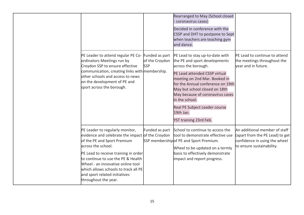|                                                                                                                                                                                                                                                                                                                                               |                                                | Rearranged to May (School closed<br>coronavirus cases)<br>Decided in conference with the<br>CSSP and DHT to postpone to Sept<br>when teachers are teaching gym<br>and dance.                                                                                                                                                                                  |                                                                                                                                |
|-----------------------------------------------------------------------------------------------------------------------------------------------------------------------------------------------------------------------------------------------------------------------------------------------------------------------------------------------|------------------------------------------------|---------------------------------------------------------------------------------------------------------------------------------------------------------------------------------------------------------------------------------------------------------------------------------------------------------------------------------------------------------------|--------------------------------------------------------------------------------------------------------------------------------|
| PE Leader to attend regular PE Co-<br>ordinators Meetings run by<br>Croydon SSP to ensure effective<br>communication, creating links with membership.<br>lother schools and access to news<br>on the development of PE and<br>sport across the borough.                                                                                       | Funded as part<br>of the Croydon<br><b>SSP</b> | PE Lead to stay up-to-date with<br>the PE and sport developments<br>across the borough.<br>PE Lead attended CSSP virtual<br>meeting on 2nd Mar. Booked in<br>for the Annual conference on 19th<br>May but school closed on 18th<br>May because of coronavirus cases<br>in the school.<br>Real PE Subject Leader course<br>19th Jan.<br>YST training 23rd Feb. | PE Lead to continue to attend<br>the meetings throughout the<br>vear and in future.                                            |
| PE Leader to regularly monitor,<br>evidence and celebrate the impact<br>of the PE and Sport Premium<br>across the school.<br>PE Lead to receive training in order<br>to continue to use the PE & Health<br>Wheel - an innovative online tool<br>which allows schools to track all PE<br>and sport related initiatives<br>throughout the year. | Funded as part<br>of the Croydon               | School to continue to access the<br>tool to demonstrate effective use<br>SSP membershipof PE and Sport Premium.<br>Wheel to be updated on a termly<br>basis to effectively demonstrate<br>impact and report progress.                                                                                                                                         | An additional member of staff<br>(apart from the PE Lead) to get<br>confidence in using the wheel<br>to ensure sustainability. |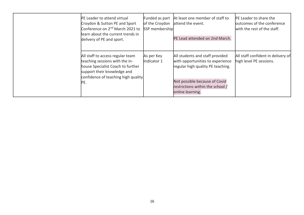|  | PE Leader to attend virtual<br>Croydon & Sutton PE and Sport<br>Conference on 2 <sup>nd</sup> March 2021 to<br>learn about the current trends in<br>delivery of PE and sport.        | Funded as part<br>of the Croydon<br>SSP membership | At least one member of staff to<br>attend the event.<br>PE Lead attended on 2nd March.                                                                                                            | <b>PE Leader to share the</b><br>outcomes of the conference<br>with the rest of the staff. |
|--|--------------------------------------------------------------------------------------------------------------------------------------------------------------------------------------|----------------------------------------------------|---------------------------------------------------------------------------------------------------------------------------------------------------------------------------------------------------|--------------------------------------------------------------------------------------------|
|  | All staff to access regular team<br>teaching sessions with the in-<br>house Specialist Coach to further<br>support their knowledge and<br>confidence of teaching high quality<br>PE. | As per Key<br>Indicator 1                          | All students and staff provided<br>with opportunities to experience<br>regular high quality PE teaching.<br>Not possible because of Covid<br>restrictions within the school /<br>online learning. | All staff confident in delivery of<br>high level PE sessions.                              |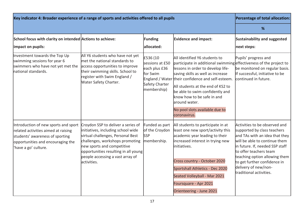| Key indicator 4: Broader experience of a range of sports and activities offered to all pupils                                                                               | Percentage of total allocation:                                                                                                                                                                                                                                           |                                                                                           |                                                                                                                                                                                                                                                                                                                                                                                                             |                                                                                                                                                                                                                                                                                                                  |
|-----------------------------------------------------------------------------------------------------------------------------------------------------------------------------|---------------------------------------------------------------------------------------------------------------------------------------------------------------------------------------------------------------------------------------------------------------------------|-------------------------------------------------------------------------------------------|-------------------------------------------------------------------------------------------------------------------------------------------------------------------------------------------------------------------------------------------------------------------------------------------------------------------------------------------------------------------------------------------------------------|------------------------------------------------------------------------------------------------------------------------------------------------------------------------------------------------------------------------------------------------------------------------------------------------------------------|
|                                                                                                                                                                             | %                                                                                                                                                                                                                                                                         |                                                                                           |                                                                                                                                                                                                                                                                                                                                                                                                             |                                                                                                                                                                                                                                                                                                                  |
| School focus with clarity on intended Actions to achieve:<br>impact on pupils:                                                                                              |                                                                                                                                                                                                                                                                           | <b>Funding</b><br>allocated:                                                              | <b>Evidence and impact:</b>                                                                                                                                                                                                                                                                                                                                                                                 | <b>Sustainability and suggested</b><br>next steps:                                                                                                                                                                                                                                                               |
| Investment towards the Top Up<br>swimming sessions for year 6<br>swimmers who have not yet met the<br>national standards.                                                   | All Y6 students who have not yet<br>met the national standards to<br>access opportunities to improve<br>their swimming skills. School to<br>register with Swim England /<br>Water Safety Charter.                                                                         | £536 (10<br>sessions at £50<br>each plus £36<br>for Swim<br>Safety Charter<br>membership) | All identified Y6 students to<br>participate in additional swimming effectiveness of the project to<br>lessons in order to develop life-<br>saving skills as well as increase<br>England / Water their confidence and self-esteem.<br>All students at the end of KS2 to<br>be able to swim confidently and<br>know how to be safe in and<br>around water.<br>No pool slots available due to<br>coronavirus. | Pupils' progress and<br>be monitored on regular basis.<br>If successful, initiative to be<br>continued in future.                                                                                                                                                                                                |
| Introduction of new sports and sport<br>related activities aimed at raising<br>students' awareness of sporting<br>opportunities and encouraging the<br>'have a go' culture. | Croydon SSP to deliver a series of<br>initiatives, including school wide<br>virtual challenges, Personal Best<br>challenges, workshops promoting<br>new sports and competitive<br>opportunities resulting in all young<br>people accessing a vast array of<br>activities. | Funded as part<br>of the Croydon<br><b>SSP</b><br>membership.                             | All students to participate in at<br>least one new sport/activity this<br>academic year leading to their<br>increased interest in trying new<br>initiatives.<br>Cross country - October 2020<br>Sportshall Athletics - Dec 2020<br>Seated Volleyball - Mar 2021<br>Foursquare - Apr 2021<br>Orienteering - June 2021                                                                                        | Activities to be observed and<br>supported by class teachers<br>and TAs with an idea that they<br>will be able to continue them<br>in future. If, needed SSP staff<br>to offer teachers team<br>teaching option allowing them<br>to get further confidence in<br>delivery of new/non-<br>traditional activities. |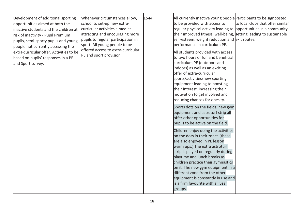| Development of additional sporting<br>opportunities aimed at both the<br>inactive students and the children at<br>risk of inactivity - Pupil Premium<br>pupils, semi-sporty pupils and young<br>people not currently accessing the<br>extra-curricular offer. Activities to be<br>based on pupils' responses in a PE<br>and Sport survey. | Whenever circumstances allow,<br>school to set-up new extra-<br>curricular activities aimed at<br>attracting and encouraging more<br>pupils to regular participation in<br>sport. All young people to be<br>offered access to extra-curricular<br>PE and sport provision. | £544 | to be provided with access to<br>regular physical activity leading to opportunities in a community<br>their improved fitness, well-being, setting leading to sustainable<br>self-esteem, weight reduction and exit routes.<br>performance in curriculum PE.<br>All students provided with access<br>to two hours of fun and beneficial<br>curriculum PE (outdoors and<br>indoors) as well as an exciting<br>offer of extra-curricular<br>sports/activities/new sporting<br>equipment leading to boosting<br>their interest, increasing their<br>motivation to get involved and<br>reducing chances for obesity.<br>Sports dots on the fields, new gym<br>equipment and astroturf strip all<br>offer other opportunities for<br>pupils to be active on the field.<br>Children enjoy doing the activities | All currently inactive young people Participants to be signposted<br>to local clubs that offer similar |
|-------------------------------------------------------------------------------------------------------------------------------------------------------------------------------------------------------------------------------------------------------------------------------------------------------------------------------------------|---------------------------------------------------------------------------------------------------------------------------------------------------------------------------------------------------------------------------------------------------------------------------|------|---------------------------------------------------------------------------------------------------------------------------------------------------------------------------------------------------------------------------------------------------------------------------------------------------------------------------------------------------------------------------------------------------------------------------------------------------------------------------------------------------------------------------------------------------------------------------------------------------------------------------------------------------------------------------------------------------------------------------------------------------------------------------------------------------------|--------------------------------------------------------------------------------------------------------|
|                                                                                                                                                                                                                                                                                                                                           |                                                                                                                                                                                                                                                                           |      | on the dots in their zones (these<br>are also enjoyed in PE lesson<br>warm ups.) The extra astroturf<br>strip is played on regularly during<br>playtime and lunch breaks as<br>children practice their gymnastics<br>on it. The new gym equipment in a<br>different zone from the other<br>equipment is constantly in use and<br>is a firm favourite with all year<br>groups.                                                                                                                                                                                                                                                                                                                                                                                                                           |                                                                                                        |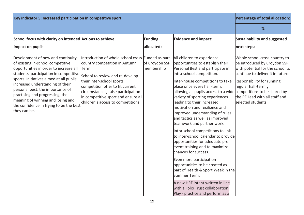| Key indicator 5: Increased participation in competitive sport                                                                                                                                                                                                                                                                                                                                                     | Percentage of total allocation:                                                                                                                                                                                                                                                                                    |                              |                                                                                                                                                                                                                                                                                                                                                                                                                                                                                                                                                                                                                                                                                                                                                                                                                                                                                        |                                                                                                                                                                                                                                                            |
|-------------------------------------------------------------------------------------------------------------------------------------------------------------------------------------------------------------------------------------------------------------------------------------------------------------------------------------------------------------------------------------------------------------------|--------------------------------------------------------------------------------------------------------------------------------------------------------------------------------------------------------------------------------------------------------------------------------------------------------------------|------------------------------|----------------------------------------------------------------------------------------------------------------------------------------------------------------------------------------------------------------------------------------------------------------------------------------------------------------------------------------------------------------------------------------------------------------------------------------------------------------------------------------------------------------------------------------------------------------------------------------------------------------------------------------------------------------------------------------------------------------------------------------------------------------------------------------------------------------------------------------------------------------------------------------|------------------------------------------------------------------------------------------------------------------------------------------------------------------------------------------------------------------------------------------------------------|
|                                                                                                                                                                                                                                                                                                                                                                                                                   | %                                                                                                                                                                                                                                                                                                                  |                              |                                                                                                                                                                                                                                                                                                                                                                                                                                                                                                                                                                                                                                                                                                                                                                                                                                                                                        |                                                                                                                                                                                                                                                            |
| School focus with clarity on intended Actions to achieve:<br>impact on pupils:                                                                                                                                                                                                                                                                                                                                    |                                                                                                                                                                                                                                                                                                                    | <b>Funding</b><br>allocated: | <b>Evidence and impact:</b>                                                                                                                                                                                                                                                                                                                                                                                                                                                                                                                                                                                                                                                                                                                                                                                                                                                            | <b>Sustainability and suggested</b><br>next steps:                                                                                                                                                                                                         |
| Development of new and continuity<br>of existing in-school competitive<br>opportunities in order to increase all<br>students' participation in competitive<br>sports. Initiatives aimed at all pupils'<br>increased understanding of their<br>personal best, the importance of<br>practising and progressing, the<br>meaning of winning and losing and<br>the confidence in trying to be the best<br>they can be. | Introduction of whole school cross-Funded as part<br>country competition in Autumn<br>Term.<br>School to review and re-develop<br>their inter-school sports<br>competition offer to fit current<br>circumstances, raise participation<br>in competitive sport and ensure all<br>children's access to competitions. | of Croydon SSP<br>membership | All children to experience<br>opportunities to establish their<br>Personal Best and participate in<br>intra-school competition.<br>Inter-house competitions to take<br>place once every half-term,<br>allowing all pupils access to a wide competitions to be shared by<br>variety of sporting experiences<br>leading to their increased<br>motivation and resilience and<br>improved understanding of rules<br>and tactics as well as improved<br>teamwork and partner work.<br>Intra-school competitions to link<br>to inter-school calendar to provide<br>opportunities for adequate pre-<br>event training and to maximize<br>chances for success.<br>Even more participation<br>opportunities to be created as<br>part of Health & Sport Week in the<br>Summer Term.<br>A new HRF intent written in line<br>with a Folio Trust collaboration.<br>Play - practice and perform as a | Whole school cross-country to<br>be introduced by Croydon SSP<br>with potential for the school to<br>continue to deliver it in future.<br><b>Responsibility for running</b><br>regular half-termly<br>the PE Lead with all staff and<br>selected students. |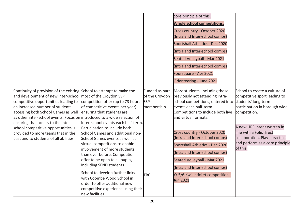|                                                                                                                                                                                                                                                                                                                                                                                                                                                                                                 |                                                                                                                                                                                                                                                                                                                                                                                                                    |                                                               | core principle of this.                                                                                                                                                                                                                                                                                                                                                                                |                                                                                                                                                                                                                                                                                  |
|-------------------------------------------------------------------------------------------------------------------------------------------------------------------------------------------------------------------------------------------------------------------------------------------------------------------------------------------------------------------------------------------------------------------------------------------------------------------------------------------------|--------------------------------------------------------------------------------------------------------------------------------------------------------------------------------------------------------------------------------------------------------------------------------------------------------------------------------------------------------------------------------------------------------------------|---------------------------------------------------------------|--------------------------------------------------------------------------------------------------------------------------------------------------------------------------------------------------------------------------------------------------------------------------------------------------------------------------------------------------------------------------------------------------------|----------------------------------------------------------------------------------------------------------------------------------------------------------------------------------------------------------------------------------------------------------------------------------|
|                                                                                                                                                                                                                                                                                                                                                                                                                                                                                                 |                                                                                                                                                                                                                                                                                                                                                                                                                    |                                                               | <b>Whole school competitions:</b>                                                                                                                                                                                                                                                                                                                                                                      |                                                                                                                                                                                                                                                                                  |
|                                                                                                                                                                                                                                                                                                                                                                                                                                                                                                 |                                                                                                                                                                                                                                                                                                                                                                                                                    |                                                               | Cross country - October 2020                                                                                                                                                                                                                                                                                                                                                                           |                                                                                                                                                                                                                                                                                  |
|                                                                                                                                                                                                                                                                                                                                                                                                                                                                                                 |                                                                                                                                                                                                                                                                                                                                                                                                                    |                                                               | (Intra and Inter-school comps)                                                                                                                                                                                                                                                                                                                                                                         |                                                                                                                                                                                                                                                                                  |
|                                                                                                                                                                                                                                                                                                                                                                                                                                                                                                 |                                                                                                                                                                                                                                                                                                                                                                                                                    |                                                               | Sportshall Athletics - Dec 2020                                                                                                                                                                                                                                                                                                                                                                        |                                                                                                                                                                                                                                                                                  |
|                                                                                                                                                                                                                                                                                                                                                                                                                                                                                                 |                                                                                                                                                                                                                                                                                                                                                                                                                    |                                                               | (Intra and Inter-school comps)                                                                                                                                                                                                                                                                                                                                                                         |                                                                                                                                                                                                                                                                                  |
|                                                                                                                                                                                                                                                                                                                                                                                                                                                                                                 |                                                                                                                                                                                                                                                                                                                                                                                                                    |                                                               | Seated Volleyball - Mar 2021                                                                                                                                                                                                                                                                                                                                                                           |                                                                                                                                                                                                                                                                                  |
|                                                                                                                                                                                                                                                                                                                                                                                                                                                                                                 |                                                                                                                                                                                                                                                                                                                                                                                                                    |                                                               | (Intra and Inter-school comps)                                                                                                                                                                                                                                                                                                                                                                         |                                                                                                                                                                                                                                                                                  |
|                                                                                                                                                                                                                                                                                                                                                                                                                                                                                                 |                                                                                                                                                                                                                                                                                                                                                                                                                    |                                                               | Foursquare - Apr 2021                                                                                                                                                                                                                                                                                                                                                                                  |                                                                                                                                                                                                                                                                                  |
|                                                                                                                                                                                                                                                                                                                                                                                                                                                                                                 |                                                                                                                                                                                                                                                                                                                                                                                                                    |                                                               | Orienteering - June 2021                                                                                                                                                                                                                                                                                                                                                                               |                                                                                                                                                                                                                                                                                  |
| Continuity of provision of the existing School to attempt to make the<br>and development of new inter-school most of the Croydon SSP<br>competitive opportunities leading to<br>an increased number of students<br>accessing both School Games as well<br>as other inter-school events. Focus on introduced to a wide selection of<br>ensuring that access to the inter-<br>school competitive opportunities is<br>provided to more teams that in the<br>past and to students of all abilities. | competition offer (up to 73 hours<br>of competitive events per year)<br>ensuring that students are<br>inter-school events each half-term.<br>Participation to include both<br>School Games and additional non-<br>School Games events as well as<br>virtual competitions to enable<br>involvement of more students<br>than ever before. Competition<br>offer to be open to all pupils,<br>including SEND students. | Funded as part<br>of the Croydon<br><b>SSP</b><br>membership. | More students, including those<br>previously not attending intra-<br>school competitions, entered into<br>events each half-term.<br>Competitions to include both live<br>and virtual formats.<br>Cross country - October 2020<br>(Intra and Inter-school comps)<br>Sportshall Athletics - Dec 2020<br>(Intra and Inter-school comps)<br>Seated Volleyball - Mar 2021<br>(Intra and Inter-school comps) | School to create a culture of<br>competitive sport leading to<br>students' long-term<br>participation in borough wide<br>competition.<br>A new HRF intent written in<br>line with a Folio Trust<br>collaboration. Play - practice<br>and perform as a core principle<br>of this. |
|                                                                                                                                                                                                                                                                                                                                                                                                                                                                                                 | School to develop further links<br>with Coombe Wood School in<br>order to offer additional new                                                                                                                                                                                                                                                                                                                     | TBC                                                           | Yr 5/6 Kwik cricket competition -<br><b>Jun 2021</b>                                                                                                                                                                                                                                                                                                                                                   |                                                                                                                                                                                                                                                                                  |
|                                                                                                                                                                                                                                                                                                                                                                                                                                                                                                 | competitive experience using their<br>new facilities.                                                                                                                                                                                                                                                                                                                                                              |                                                               |                                                                                                                                                                                                                                                                                                                                                                                                        |                                                                                                                                                                                                                                                                                  |